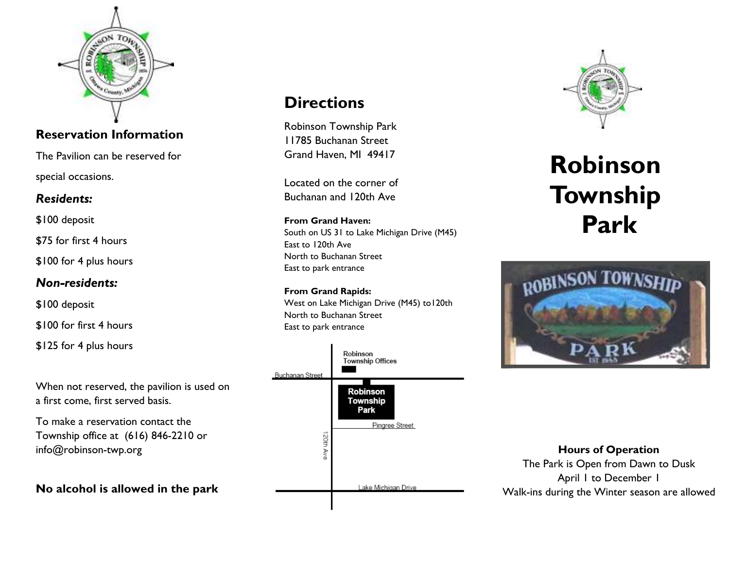

## **Reservation Information**

The Pavilion can be reserved for

special occasions.

# *Residents:*

\$100 deposit

\$75 for first 4 hours

\$100 for 4 plus hours

### *Non-residents:*

\$100 deposit

\$100 for first 4 hours

\$125 for 4 plus hours

When not reserved, the pavilion is used on a first come, first served basis.

To make a reservation contact the Township office at (616) 846-2210 or info@robinson-twp.org

**No alcohol is allowed in the park** 

# **Directions**

Robinson Township Park 11785 Buchanan Street Grand Haven, MI 49417

Located on the corner of Buchanan and 120th Ave

#### **From Grand Haven:** South on US 31 to Lake Michigan Drive (M45) East to 120th Ave

 North to Buchanan Street East to park entrance

**From Grand Rapids:** West on Lake Michigan Drive (M45) to120th North to Buchanan Street East to park entrance





# **Robinson Township Park**



**Hours of Operation** The Park is Open from Dawn to Dusk April 1 to December 1 Walk-ins during the Winter season are allowed